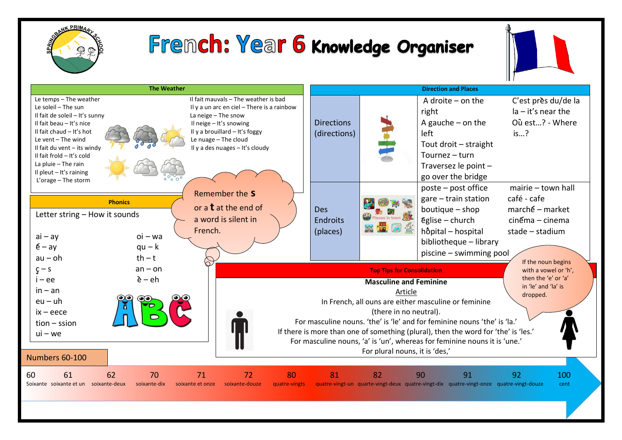

## Fremch: Year 6 Knowledge Organiser



| <b>The Weather</b>                                                                                                                                                                                                                                                                                                                                                                                                                                                                                                                                | <b>Direction and Places</b>                                                                                                                                                                                                                                                                                                                                                                                                                                                                                                        |    |                                                                                                                                                                            |                                                                                                                                |  |
|---------------------------------------------------------------------------------------------------------------------------------------------------------------------------------------------------------------------------------------------------------------------------------------------------------------------------------------------------------------------------------------------------------------------------------------------------------------------------------------------------------------------------------------------------|------------------------------------------------------------------------------------------------------------------------------------------------------------------------------------------------------------------------------------------------------------------------------------------------------------------------------------------------------------------------------------------------------------------------------------------------------------------------------------------------------------------------------------|----|----------------------------------------------------------------------------------------------------------------------------------------------------------------------------|--------------------------------------------------------------------------------------------------------------------------------|--|
| Il fait mauvals - The weather is bad<br>Le temps - The weather<br>Le soleil - The sun<br>Il y a un arc en ciel - There is a rainbow<br>Il fait de soleil - It's sunny<br>La neige - The snow<br>Il neige - It's snowing<br>Il fait beau - It's nice<br>Il fait chaud $-$ It's hot<br>Il y a brouillard - It's foggy<br>Le vent $-$ The wind<br>Le nuage - The cloud<br>Il y a des nuages - It's cloudy<br>Il fait du vent $-$ its windy<br>Il fait frold - It's cold<br>La pluie $-$ The rain<br>Il pleut $-$ It's raining<br>L'orage - The storm | <b>Directions</b><br>(directions)                                                                                                                                                                                                                                                                                                                                                                                                                                                                                                  |    | A droite $-$ on the<br>right<br>A gauche $-$ on the<br>left<br>Tout droit - straight<br>Tournez $-$ turn<br>Traversez le point -<br>go over the bridge                     | C'est près du/de la<br>$Ia - it's near the$<br>Où est? - Where<br>is?                                                          |  |
| Remember the S<br><b>Phonics</b><br>or a $t$ at the end of<br>Letter string - How it sounds<br>a word is silent in<br>French.<br>$oi - wa$<br>$ai - ay$<br>$\acute{\text{e}}$ – ay<br>$qu - k$<br>$th - t$<br>$au - oh$                                                                                                                                                                                                                                                                                                                           | <b>Des</b><br><b>Endroits</b><br>(places)                                                                                                                                                                                                                                                                                                                                                                                                                                                                                          |    | poste - post office<br>$gare - train station$<br>boutique $-$ shop<br>$\epsilon$ glise – church<br>hôpital - hospital<br>bibliotheque - library<br>piscine - swimming pool | mairie - town hall<br>café - cafe<br>$march$ é – market<br>$cin \epsilon$ ma – cinema<br>stade - stadium<br>If the noun begins |  |
| $an - on$<br>$\varsigma$ – s<br>$\grave{\mathsf{e}}$ – $\mathsf{e}\mathsf{h}$<br>$i - ee$<br>$in - an$<br>$eu - uh$<br>$ix - e$ ece<br>$tion - sision$<br>$ui - we$<br>Numbers 60-100                                                                                                                                                                                                                                                                                                                                                             | <b>Top Tips for Consolidation</b><br>with a vowel or 'h',<br>then the 'e' or 'a'<br><b>Masculine and Feminine</b><br>in 'le' and 'la' is<br>Article<br>dropped.<br>In French, all ouns are either masculine or feminine<br>(there in no neutral).<br>For masculine nouns. 'the' is 'le' and for feminine nouns 'the' is 'la.'<br>If there is more than one of something (plural), then the word for 'the' is 'les.'<br>For masculine nouns, 'a' is 'un', whereas for feminine nouns it is 'une.'<br>For plural nouns, it is 'des,' |    |                                                                                                                                                                            |                                                                                                                                |  |
| 62<br>61<br>70<br>71<br>72<br>80<br>60<br>Soixante soixante et un soixante-deux<br>soixante-dix<br>soixante-douze<br>soixante et onze<br>quatre-vingts                                                                                                                                                                                                                                                                                                                                                                                            | 81                                                                                                                                                                                                                                                                                                                                                                                                                                                                                                                                 | 82 | 90<br>91<br>quatre-vingt-un quarte-vingt-deux quatre-vingt-dix quatre-vingt-onze quatre-vingt-douze                                                                        | 100<br>92<br>cent                                                                                                              |  |